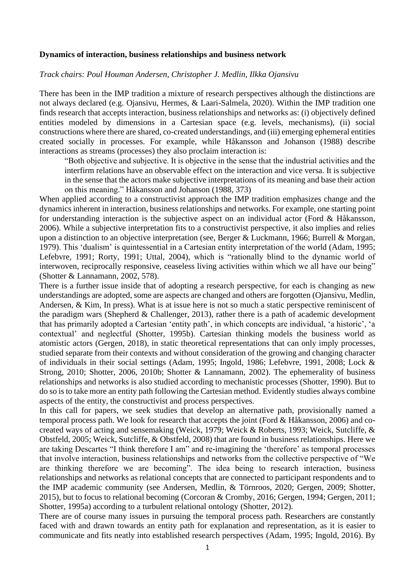## **Dynamics of interaction, business relationships and business network**

## *Track chairs: Poul Houman Andersen, Christopher J. Medlin, Ilkka Ojansivu*

There has been in the IMP tradition a mixture of research perspectives although the distinctions are not always declared (e.g. Ojansivu, Hermes, & Laari-Salmela, 2020). Within the IMP tradition one finds research that accepts interaction, business relationships and networks as: (i) objectively defined entities modeled by dimensions in a Cartesian space (e.g. levels, mechanisms), (ii) social constructions where there are shared, co-created understandings, and (iii) emerging ephemeral entities created socially in processes. For example, while Håkansson and Johanson (1988) describe interactions as streams (processes) they also proclaim interaction is:

"Both objective and subjective. It is objective in the sense that the industrial activities and the interfirm relations have an observable effect on the interaction and vice versa. It is subjective in the sense that the actors make subjective interpretations of its meaning and base their action on this meaning." Håkansson and Johanson (1988, 373)

When applied according to a constructivist approach the IMP tradition emphasizes change and the dynamics inherent in interaction, business relationships and networks. For example, one starting point for understanding interaction is the subjective aspect on an individual actor (Ford & Håkansson, 2006). While a subjective interpretation fits to a constructivist perspective, it also implies and relies upon a distinction to an objective interpretation (see, Berger & Luckmann, 1966; Burrell & Morgan, 1979). This 'dualism' is quintessential in a Cartesian entity interpretation of the world (Adam, 1995; Lefebvre, 1991; Rorty, 1991; Uttal, 2004), which is "rationally blind to the dynamic world of interwoven, reciprocally responsive, ceaseless living activities within which we all have our being" (Shotter & Lannamann, 2002, 578).

There is a further issue inside that of adopting a research perspective, for each is changing as new understandings are adopted, some are aspects are changed and others are forgotten (Ojansivu, Medlin, Andersen, & Kim, In press). What is at issue here is not so much a static perspective reminiscent of the paradigm wars (Shepherd & Challenger, 2013), rather there is a path of academic development that has primarily adopted a Cartesian 'entity path', in which concepts are individual, 'a historic', 'a contextual' and neglectful (Shotter, 1995b). Cartesian thinking models the business world as atomistic actors (Gergen, 2018), in static theoretical representations that can only imply processes, studied separate from their contexts and without consideration of the growing and changing character of individuals in their social settings (Adam, 1995; Ingold, 1986; Lefebvre, 1991, 2008; Lock & Strong, 2010; Shotter, 2006, 2010b; Shotter & Lannamann, 2002). The ephemerality of business relationships and networks is also studied according to mechanistic processes (Shotter, 1990). But to do so is to take more an entity path following the Cartesian method. Evidently studies always combine aspects of the entity, the constructivist and process perspectives.

In this call for papers, we seek studies that develop an alternative path, provisionally named a temporal process path. We look for research that accepts the joint (Ford & Håkansson, 2006) and cocreated ways of acting and sensemaking (Weick, 1979; Weick & Roberts, 1993; Weick, Sutcliffe, & Obstfeld, 2005; Weick, Sutcliffe, & Obstfeld, 2008) that are found in business relationships. Here we are taking Descartes "I think therefore I am" and re-imagining the 'therefore' as temporal processes that involve interaction, business relationships and networks from the collective perspective of "We are thinking therefore we are becoming". The idea being to research interaction, business relationships and networks as relational concepts that are connected to participant respondents and to the IMP academic community (see Andersen, Medlin, & Törnroos, 2020; Gergen, 2009; Shotter, 2015), but to focus to relational becoming (Corcoran & Cromby, 2016; Gergen, 1994; Gergen, 2011; Shotter, 1995a) according to a turbulent relational ontology (Shotter, 2012).

There are of course many issues in pursuing the temporal process path. Researchers are constantly faced with and drawn towards an entity path for explanation and representation, as it is easier to communicate and fits neatly into established research perspectives (Adam, 1995; Ingold, 2016). By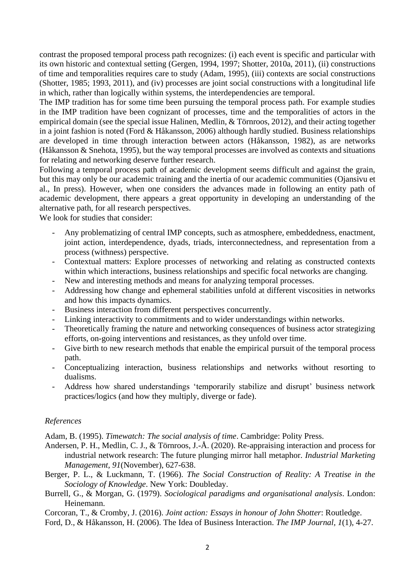contrast the proposed temporal process path recognizes: (i) each event is specific and particular with its own historic and contextual setting (Gergen, 1994, 1997; Shotter, 2010a, 2011), (ii) constructions of time and temporalities requires care to study (Adam, 1995), (iii) contexts are social constructions (Shotter, 1985; 1993, 2011), and (iv) processes are joint social constructions with a longitudinal life in which, rather than logically within systems, the interdependencies are temporal.

The IMP tradition has for some time been pursuing the temporal process path. For example studies in the IMP tradition have been cognizant of processes, time and the temporalities of actors in the empirical domain (see the special issue Halinen, Medlin, & Törnroos, 2012), and their acting together in a joint fashion is noted (Ford & Håkansson, 2006) although hardly studied. Business relationships are developed in time through interaction between actors (Håkansson, 1982), as are networks (Håkansson & Snehota, 1995), but the way temporal processes are involved as contexts and situations for relating and networking deserve further research.

Following a temporal process path of academic development seems difficult and against the grain, but this may only be our academic training and the inertia of our academic communities (Ojansivu et al., In press). However, when one considers the advances made in following an entity path of academic development, there appears a great opportunity in developing an understanding of the alternative path, for all research perspectives.

We look for studies that consider:

- Any problematizing of central IMP concepts, such as atmosphere, embeddedness, enactment, joint action, interdependence, dyads, triads, interconnectedness, and representation from a process (withness) perspective.
- Contextual matters: Explore processes of networking and relating as constructed contexts within which interactions, business relationships and specific focal networks are changing.
- New and interesting methods and means for analyzing temporal processes.
- Addressing how change and ephemeral stabilities unfold at different viscosities in networks and how this impacts dynamics.
- Business interaction from different perspectives concurrently.
- Linking interactivity to commitments and to wider understandings within networks.
- Theoretically framing the nature and networking consequences of business actor strategizing efforts, on-going interventions and resistances, as they unfold over time.
- Give birth to new research methods that enable the empirical pursuit of the temporal process path.
- Conceptualizing interaction, business relationships and networks without resorting to dualisms.
- Address how shared understandings 'temporarily stabilize and disrupt' business network practices/logics (and how they multiply, diverge or fade).

## *References*

Adam, B. (1995). *Timewatch: The social analysis of time*. Cambridge: Polity Press.

- Andersen, P. H., Medlin, C. J., & Törnroos, J.-Å. (2020). Re-appraising interaction and process for industrial network research: The future plunging mirror hall metaphor. *Industrial Marketing Management, 91*(November), 627-638.
- Berger, P. L., & Luckmann, T. (1966). *The Social Construction of Reality: A Treatise in the Sociology of Knowledge*. New York: Doubleday.
- Burrell, G., & Morgan, G. (1979). *Sociological paradigms and organisational analysis*. London: Heinemann.

Corcoran, T., & Cromby, J. (2016). *Joint action: Essays in honour of John Shotter*: Routledge.

Ford, D., & Håkansson, H. (2006). The Idea of Business Interaction. *The IMP Journal, 1*(1), 4-27.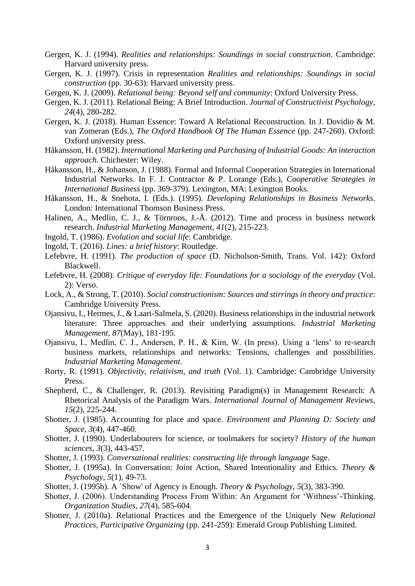- Gergen, K. J. (1994). *Realities and relationships: Soundings in social construction*. Cambridge: Harvard university press.
- Gergen, K. J. (1997). Crisis in representation *Realities and relationships: Soundings in social construction* (pp. 30-63): Harvard university press.
- Gergen, K. J. (2009). *Relational being: Beyond self and community*: Oxford University Press.
- Gergen, K. J. (2011). Relational Being: A Brief Introduction. *Journal of Constructivist Psychology, 24*(4), 280-282.
- Gergen, K. J. (2018). Human Essence: Toward A Relational Reconstruction. In J. Dovidio & M. van Zomeran (Eds.), *The Oxford Handbook Of The Human Essence* (pp. 247-260). Oxford: Oxford university press.
- Håkansson, H. (1982). *International Marketing and Purchasing of Industrial Goods: An interaction approach*. Chichester: Wiley.
- Håkansson, H., & Johanson, J. (1988). Formal and Informal Cooperation Strategies in International Industrial Networks. In F. J. Contractor & P. Lorange (Eds.), *Cooperative Strategies in International Business* (pp. 369-379). Lexington, MA: Lexington Books.
- Håkansson, H., & Snehota, I. (Eds.). (1995). *Developing Relationships in Business Networks*. London: International Thomson Business Press.
- Halinen, A., Medlin, C. J., & Törnroos, J.-Å. (2012). Time and process in business network research. *Industrial Marketing Management, 41*(2), 215-223.
- Ingold, T. (1986). *Evolution and social life*: Cambridge.
- Ingold, T. (2016). *Lines: a brief history*: Routledge.
- Lefebvre, H. (1991). *The production of space* (D. Nicholson-Smith, Trans. Vol. 142): Oxford Blackwell.
- Lefebvre, H. (2008). *Critique of everyday life: Foundations for a sociology of the everyday* (Vol. 2): Verso.
- Lock, A., & Strong, T. (2010). *Social constructionism: Sources and stirrings in theory and practice*: Cambridge University Press.
- Ojansivu, I., Hermes, J., & Laari-Salmela, S. (2020). Business relationships in the industrial network literature: Three approaches and their underlying assumptions. *Industrial Marketing Management, 87*(May), 181-195.
- Ojansivu, I., Medlin, C. J., Andersen, P. H., & Kim, W. (In press). Using a 'lens' to re-search business markets, relationships and networks: Tensions, challenges and possibilities. *Industrial Marketing Management*.
- Rorty, R. (1991). *Objectivity, relativism, and truth* (Vol. 1). Cambridge: Cambridge University Press.
- Shepherd, C., & Challenger, R. (2013). Revisiting Paradigm(s) in Management Research: A Rhetorical Analysis of the Paradigm Wars. *International Journal of Management Reviews, 15*(2), 225-244.
- Shotter, J. (1985). Accounting for place and space. *Environment and Planning D: Society and Space, 3*(4), 447-460.
- Shotter, J. (1990). Underlabourers for science, or toolmakers for society? *History of the human sciences, 3*(3), 443-457.
- Shotter, J. (1993). *Conversational realities: constructing life through language* Sage.
- Shotter, J. (1995a). In Conversation: Joint Action, Shared Intentionality and Ethics. *Theory & Psychology, 5*(1), 49-73.
- Shotter, J. (1995b). A `Show' of Agency is Enough. *Theory & Psychology, 5*(3), 383-390.
- Shotter, J. (2006). Understanding Process From Within: An Argument for 'Withness'-Thinking. *Organization Studies, 27*(4), 585-604.
- Shotter, J. (2010a). Relational Practices and the Emergence of the Uniquely New *Relational Practices, Participative Organizing* (pp. 241-259): Emerald Group Publishing Limited.